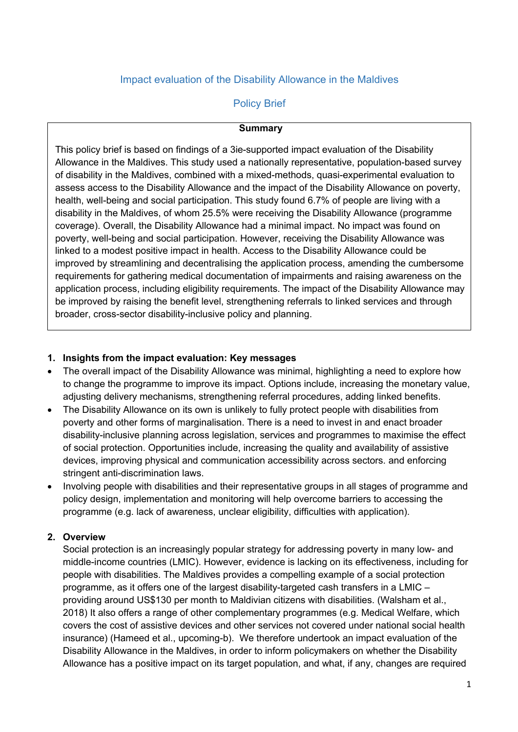# Impact evaluation of the Disability Allowance in the Maldives

# Policy Brief

#### **Summary**

This policy brief is based on findings of a 3ie-supported impact evaluation of the Disability Allowance in the Maldives. This study used a nationally representative, population-based survey of disability in the Maldives, combined with a mixed-methods, quasi-experimental evaluation to assess access to the Disability Allowance and the impact of the Disability Allowance on poverty, health, well-being and social participation. This study found 6.7% of people are living with a disability in the Maldives, of whom 25.5% were receiving the Disability Allowance (programme coverage). Overall, the Disability Allowance had a minimal impact. No impact was found on poverty, well-being and social participation. However, receiving the Disability Allowance was linked to a modest positive impact in health. Access to the Disability Allowance could be improved by streamlining and decentralising the application process, amending the cumbersome requirements for gathering medical documentation of impairments and raising awareness on the application process, including eligibility requirements. The impact of the Disability Allowance may be improved by raising the benefit level, strengthening referrals to linked services and through broader, cross-sector disability-inclusive policy and planning.

## **1. Insights from the impact evaluation: Key messages**

- The overall impact of the Disability Allowance was minimal, highlighting a need to explore how to change the programme to improve its impact. Options include, increasing the monetary value, adjusting delivery mechanisms, strengthening referral procedures, adding linked benefits.
- The Disability Allowance on its own is unlikely to fully protect people with disabilities from poverty and other forms of marginalisation. There is a need to invest in and enact broader disability-inclusive planning across legislation, services and programmes to maximise the effect of social protection. Opportunities include, increasing the quality and availability of assistive devices, improving physical and communication accessibility across sectors. and enforcing stringent anti-discrimination laws.
- Involving people with disabilities and their representative groups in all stages of programme and policy design, implementation and monitoring will help overcome barriers to accessing the programme (e.g. lack of awareness, unclear eligibility, difficulties with application).

# **2. Overview**

Social protection is an increasingly popular strategy for addressing poverty in many low- and middle-income countries (LMIC). However, evidence is lacking on its effectiveness, including for people with disabilities. The Maldives provides a compelling example of a social protection programme, as it offers one of the largest disability-targeted cash transfers in a LMIC – providing around US\$130 per month to Maldivian citizens with disabilities. (Walsham et al., 2018) It also offers a range of other complementary programmes (e.g. Medical Welfare, which covers the cost of assistive devices and other services not covered under national social health insurance) (Hameed et al., upcoming-b). We therefore undertook an impact evaluation of the Disability Allowance in the Maldives, in order to inform policymakers on whether the Disability Allowance has a positive impact on its target population, and what, if any, changes are required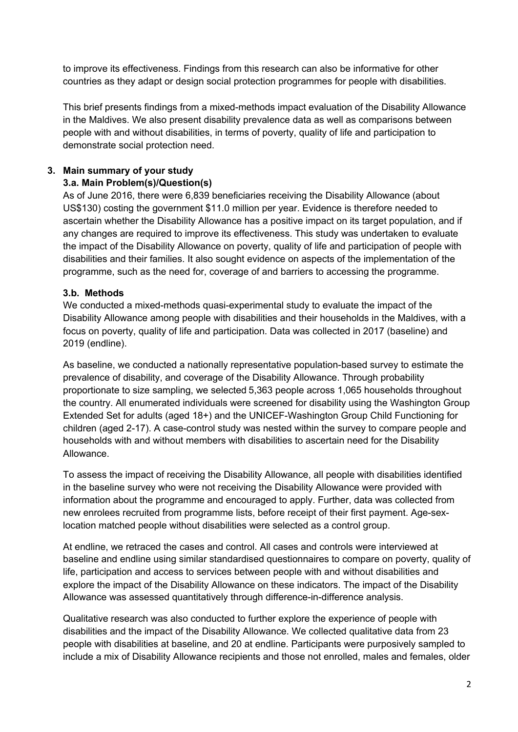to improve its effectiveness. Findings from this research can also be informative for other countries as they adapt or design social protection programmes for people with disabilities.

This brief presents findings from a mixed-methods impact evaluation of the Disability Allowance in the Maldives. We also present disability prevalence data as well as comparisons between people with and without disabilities, in terms of poverty, quality of life and participation to demonstrate social protection need.

# **3. Main summary of your study**

# **3.a. Main Problem(s)/Question(s)**

As of June 2016, there were 6,839 beneficiaries receiving the Disability Allowance (about US\$130) costing the government \$11.0 million per year. Evidence is therefore needed to ascertain whether the Disability Allowance has a positive impact on its target population, and if any changes are required to improve its effectiveness. This study was undertaken to evaluate the impact of the Disability Allowance on poverty, quality of life and participation of people with disabilities and their families. It also sought evidence on aspects of the implementation of the programme, such as the need for, coverage of and barriers to accessing the programme.

# **3.b. Methods**

We conducted a mixed-methods quasi-experimental study to evaluate the impact of the Disability Allowance among people with disabilities and their households in the Maldives, with a focus on poverty, quality of life and participation. Data was collected in 2017 (baseline) and 2019 (endline).

As baseline, we conducted a nationally representative population-based survey to estimate the prevalence of disability, and coverage of the Disability Allowance. Through probability proportionate to size sampling, we selected 5,363 people across 1,065 households throughout the country. All enumerated individuals were screened for disability using the Washington Group Extended Set for adults (aged 18+) and the UNICEF-Washington Group Child Functioning for children (aged 2-17). A case-control study was nested within the survey to compare people and households with and without members with disabilities to ascertain need for the Disability Allowance.

To assess the impact of receiving the Disability Allowance, all people with disabilities identified in the baseline survey who were not receiving the Disability Allowance were provided with information about the programme and encouraged to apply. Further, data was collected from new enrolees recruited from programme lists, before receipt of their first payment. Age-sexlocation matched people without disabilities were selected as a control group.

At endline, we retraced the cases and control. All cases and controls were interviewed at baseline and endline using similar standardised questionnaires to compare on poverty, quality of life, participation and access to services between people with and without disabilities and explore the impact of the Disability Allowance on these indicators. The impact of the Disability Allowance was assessed quantitatively through difference-in-difference analysis.

Qualitative research was also conducted to further explore the experience of people with disabilities and the impact of the Disability Allowance. We collected qualitative data from 23 people with disabilities at baseline, and 20 at endline. Participants were purposively sampled to include a mix of Disability Allowance recipients and those not enrolled, males and females, older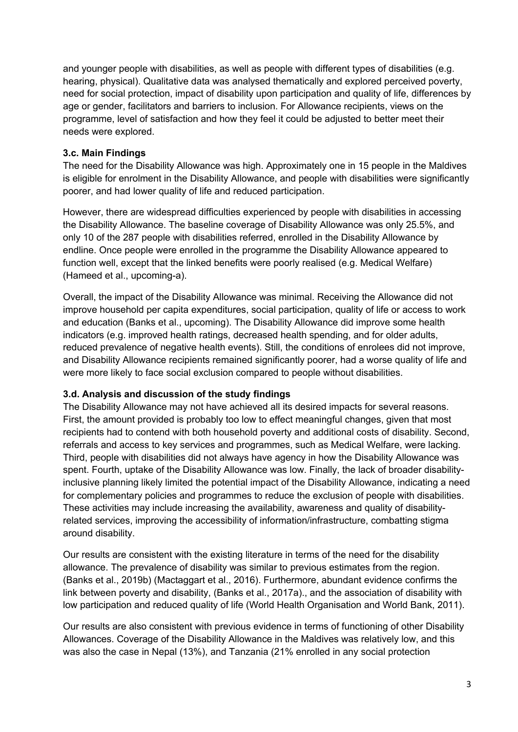and younger people with disabilities, as well as people with different types of disabilities (e.g. hearing, physical). Qualitative data was analysed thematically and explored perceived poverty, need for social protection, impact of disability upon participation and quality of life, differences by age or gender, facilitators and barriers to inclusion. For Allowance recipients, views on the programme, level of satisfaction and how they feel it could be adjusted to better meet their needs were explored.

## **3.c. Main Findings**

The need for the Disability Allowance was high. Approximately one in 15 people in the Maldives is eligible for enrolment in the Disability Allowance, and people with disabilities were significantly poorer, and had lower quality of life and reduced participation.

However, there are widespread difficulties experienced by people with disabilities in accessing the Disability Allowance. The baseline coverage of Disability Allowance was only 25.5%, and only 10 of the 287 people with disabilities referred, enrolled in the Disability Allowance by endline. Once people were enrolled in the programme the Disability Allowance appeared to function well, except that the linked benefits were poorly realised (e.g. Medical Welfare) (Hameed et al., upcoming-a).

Overall, the impact of the Disability Allowance was minimal. Receiving the Allowance did not improve household per capita expenditures, social participation, quality of life or access to work and education (Banks et al., upcoming). The Disability Allowance did improve some health indicators (e.g. improved health ratings, decreased health spending, and for older adults, reduced prevalence of negative health events). Still, the conditions of enrolees did not improve, and Disability Allowance recipients remained significantly poorer, had a worse quality of life and were more likely to face social exclusion compared to people without disabilities.

# **3.d. Analysis and discussion of the study findings**

The Disability Allowance may not have achieved all its desired impacts for several reasons. First, the amount provided is probably too low to effect meaningful changes, given that most recipients had to contend with both household poverty and additional costs of disability. Second, referrals and access to key services and programmes, such as Medical Welfare, were lacking. Third, people with disabilities did not always have agency in how the Disability Allowance was spent. Fourth, uptake of the Disability Allowance was low. Finally, the lack of broader disabilityinclusive planning likely limited the potential impact of the Disability Allowance, indicating a need for complementary policies and programmes to reduce the exclusion of people with disabilities. These activities may include increasing the availability, awareness and quality of disabilityrelated services, improving the accessibility of information/infrastructure, combatting stigma around disability.

Our results are consistent with the existing literature in terms of the need for the disability allowance. The prevalence of disability was similar to previous estimates from the region. (Banks et al., 2019b) (Mactaggart et al., 2016). Furthermore, abundant evidence confirms the link between poverty and disability, (Banks et al., 2017a)., and the association of disability with low participation and reduced quality of life (World Health Organisation and World Bank, 2011).

Our results are also consistent with previous evidence in terms of functioning of other Disability Allowances. Coverage of the Disability Allowance in the Maldives was relatively low, and this was also the case in Nepal (13%), and Tanzania (21% enrolled in any social protection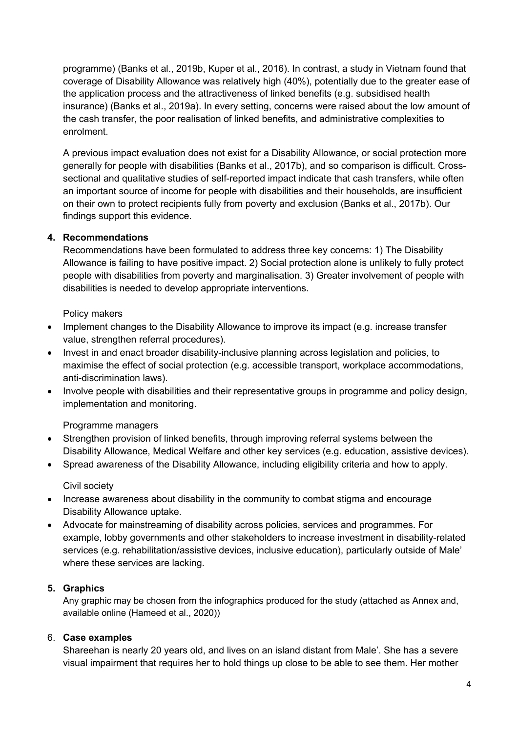programme) (Banks et al., 2019b, Kuper et al., 2016). In contrast, a study in Vietnam found that coverage of Disability Allowance was relatively high (40%), potentially due to the greater ease of the application process and the attractiveness of linked benefits (e.g. subsidised health insurance) (Banks et al., 2019a). In every setting, concerns were raised about the low amount of the cash transfer, the poor realisation of linked benefits, and administrative complexities to enrolment.

A previous impact evaluation does not exist for a Disability Allowance, or social protection more generally for people with disabilities (Banks et al., 2017b), and so comparison is difficult. Crosssectional and qualitative studies of self-reported impact indicate that cash transfers, while often an important source of income for people with disabilities and their households, are insufficient on their own to protect recipients fully from poverty and exclusion (Banks et al., 2017b). Our findings support this evidence.

## **4. Recommendations**

Recommendations have been formulated to address three key concerns: 1) The Disability Allowance is failing to have positive impact. 2) Social protection alone is unlikely to fully protect people with disabilities from poverty and marginalisation. 3) Greater involvement of people with disabilities is needed to develop appropriate interventions.

## Policy makers

- Implement changes to the Disability Allowance to improve its impact (e.g. increase transfer value, strengthen referral procedures).
- Invest in and enact broader disability-inclusive planning across legislation and policies, to maximise the effect of social protection (e.g. accessible transport, workplace accommodations, anti-discrimination laws).
- Involve people with disabilities and their representative groups in programme and policy design, implementation and monitoring.

# Programme managers

- Strengthen provision of linked benefits, through improving referral systems between the Disability Allowance, Medical Welfare and other key services (e.g. education, assistive devices).
- Spread awareness of the Disability Allowance, including eligibility criteria and how to apply.

## Civil society

- Increase awareness about disability in the community to combat stigma and encourage Disability Allowance uptake.
- Advocate for mainstreaming of disability across policies, services and programmes. For example, lobby governments and other stakeholders to increase investment in disability-related services (e.g. rehabilitation/assistive devices, inclusive education), particularly outside of Male' where these services are lacking.

# **5. Graphics**

Any graphic may be chosen from the infographics produced for the study (attached as Annex and, available online (Hameed et al., 2020))

## 6. **Case examples**

Shareehan is nearly 20 years old, and lives on an island distant from Male'. She has a severe visual impairment that requires her to hold things up close to be able to see them. Her mother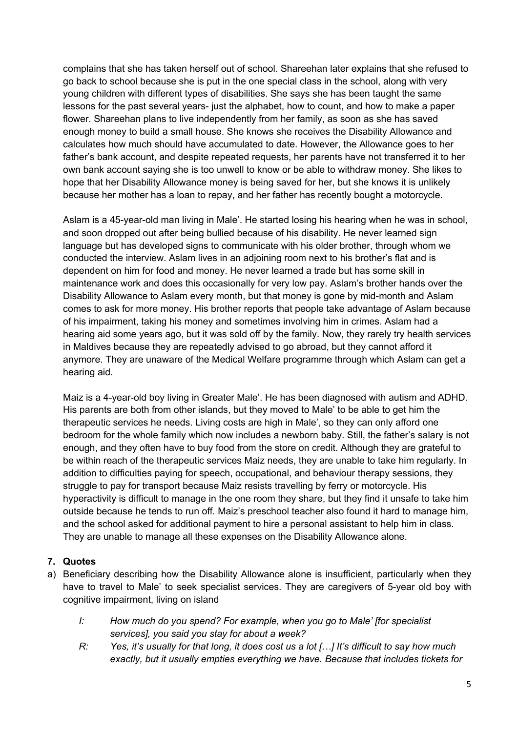complains that she has taken herself out of school. Shareehan later explains that she refused to go back to school because she is put in the one special class in the school, along with very young children with different types of disabilities. She says she has been taught the same lessons for the past several years- just the alphabet, how to count, and how to make a paper flower. Shareehan plans to live independently from her family, as soon as she has saved enough money to build a small house. She knows she receives the Disability Allowance and calculates how much should have accumulated to date. However, the Allowance goes to her father's bank account, and despite repeated requests, her parents have not transferred it to her own bank account saying she is too unwell to know or be able to withdraw money. She likes to hope that her Disability Allowance money is being saved for her, but she knows it is unlikely because her mother has a loan to repay, and her father has recently bought a motorcycle.

Aslam is a 45-year-old man living in Male'. He started losing his hearing when he was in school, and soon dropped out after being bullied because of his disability. He never learned sign language but has developed signs to communicate with his older brother, through whom we conducted the interview. Aslam lives in an adjoining room next to his brother's flat and is dependent on him for food and money. He never learned a trade but has some skill in maintenance work and does this occasionally for very low pay. Aslam's brother hands over the Disability Allowance to Aslam every month, but that money is gone by mid-month and Aslam comes to ask for more money. His brother reports that people take advantage of Aslam because of his impairment, taking his money and sometimes involving him in crimes. Aslam had a hearing aid some years ago, but it was sold off by the family. Now, they rarely try health services in Maldives because they are repeatedly advised to go abroad, but they cannot afford it anymore. They are unaware of the Medical Welfare programme through which Aslam can get a hearing aid.

Maiz is a 4-year-old boy living in Greater Male'. He has been diagnosed with autism and ADHD. His parents are both from other islands, but they moved to Male' to be able to get him the therapeutic services he needs. Living costs are high in Male', so they can only afford one bedroom for the whole family which now includes a newborn baby. Still, the father's salary is not enough, and they often have to buy food from the store on credit. Although they are grateful to be within reach of the therapeutic services Maiz needs, they are unable to take him regularly. In addition to difficulties paying for speech, occupational, and behaviour therapy sessions, they struggle to pay for transport because Maiz resists travelling by ferry or motorcycle. His hyperactivity is difficult to manage in the one room they share, but they find it unsafe to take him outside because he tends to run off. Maiz's preschool teacher also found it hard to manage him, and the school asked for additional payment to hire a personal assistant to help him in class. They are unable to manage all these expenses on the Disability Allowance alone.

# **7. Quotes**

- a) Beneficiary describing how the Disability Allowance alone is insufficient, particularly when they have to travel to Male' to seek specialist services. They are caregivers of 5-year old boy with cognitive impairment, living on island
	- *I: How much do you spend? For example, when you go to Male' [for specialist services], you said you stay for about a week?*
	- *R: Yes, it's usually for that long, it does cost us a lot […] It's difficult to say how much exactly, but it usually empties everything we have. Because that includes tickets for*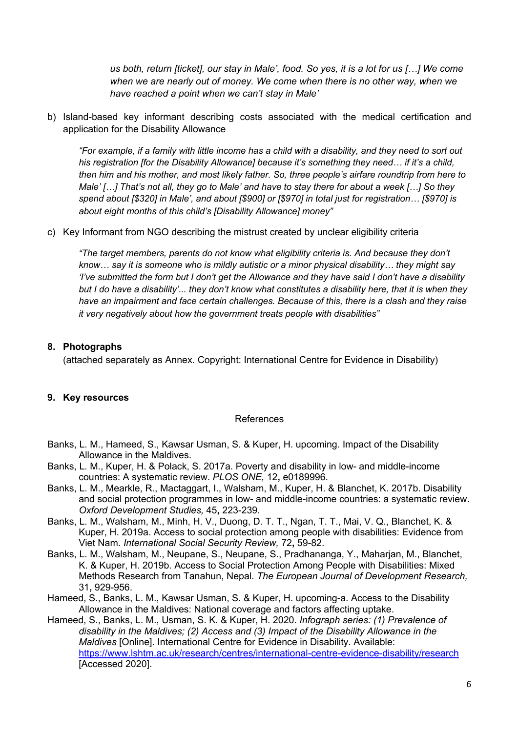*us both, return [ticket], our stay in Male', food. So yes, it is a lot for us […] We come when we are nearly out of money. We come when there is no other way, when we have reached a point when we can't stay in Male'*

b) Island-based key informant describing costs associated with the medical certification and application for the Disability Allowance

*"For example, if a family with little income has a child with a disability, and they need to sort out his registration [for the Disability Allowance] because it's something they need… if it's a child, then him and his mother, and most likely father. So, three people's airfare roundtrip from here to Male' […] That's not all, they go to Male' and have to stay there for about a week […] So they spend about [\$320] in Male', and about [\$900] or [\$970] in total just for registration… [\$970] is about eight months of this child's [Disability Allowance] money"*

c) Key Informant from NGO describing the mistrust created by unclear eligibility criteria

*"The target members, parents do not know what eligibility criteria is. And because they don't know… say it is someone who is mildly autistic or a minor physical disability… they might say 'I've submitted the form but I don't get the Allowance and they have said I don't have a disability but I do have a disability'... they don't know what constitutes a disability here, that it is when they have an impairment and face certain challenges. Because of this, there is a clash and they raise it very negatively about how the government treats people with disabilities"*

#### **8. Photographs**

(attached separately as Annex. Copyright: International Centre for Evidence in Disability)

## **9. Key resources**

#### References

- Banks, L. M., Hameed, S., Kawsar Usman, S. & Kuper, H. upcoming. Impact of the Disability Allowance in the Maldives.
- Banks, L. M., Kuper, H. & Polack, S. 2017a. Poverty and disability in low- and middle-income countries: A systematic review. *PLOS ONE,* 12**,** e0189996.
- Banks, L. M., Mearkle, R., Mactaggart, I., Walsham, M., Kuper, H. & Blanchet, K. 2017b. Disability and social protection programmes in low- and middle-income countries: a systematic review. *Oxford Development Studies,* 45**,** 223-239.
- Banks, L. M., Walsham, M., Minh, H. V., Duong, D. T. T., Ngan, T. T., Mai, V. Q., Blanchet, K. & Kuper, H. 2019a. Access to social protection among people with disabilities: Evidence from Viet Nam. *International Social Security Review,* 72**,** 59-82.
- Banks, L. M., Walsham, M., Neupane, S., Neupane, S., Pradhananga, Y., Maharjan, M., Blanchet, K. & Kuper, H. 2019b. Access to Social Protection Among People with Disabilities: Mixed Methods Research from Tanahun, Nepal. *The European Journal of Development Research,* 31**,** 929-956.
- Hameed, S., Banks, L. M., Kawsar Usman, S. & Kuper, H. upcoming-a. Access to the Disability Allowance in the Maldives: National coverage and factors affecting uptake.
- Hameed, S., Banks, L. M., Usman, S. K. & Kuper, H. 2020. *Infograph series: (1) Prevalence of disability in the Maldives; (2) Access and (3) Impact of the Disability Allowance in the Maldives* [Online]. International Centre for Evidence in Disability. Available: https://www.lshtm.ac.uk/research/centres/international-centre-evidence-disability/research [Accessed 2020].